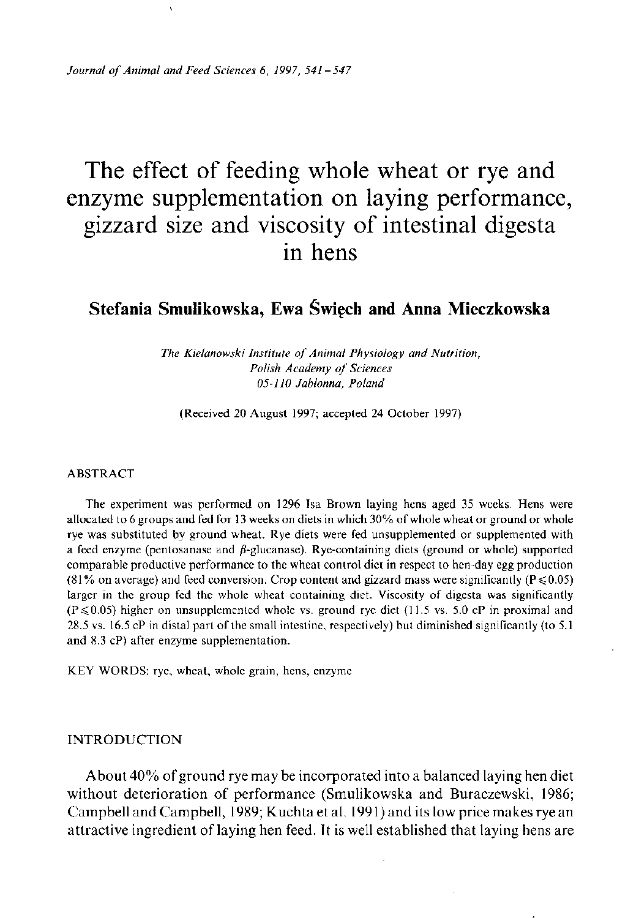*Journal of Animal and Feed Sciences 6, 1997, 541-547* 

# The effect of feeding whole wheat or rye and enzyme supplementation on laying performance, gizzard size and viscosity of intestinal digesta in hens

# **Stefania Smulikowska, Ewa Świech and Anna Mieczkowska**

*The Kielanowski Institute of Animal Physiology and Nutrition, Polish Academy of Sciences 05-110 Jablonna, Poland* 

**(Received 20 August 1997; accepted 24 October 1997)** 

### **ABSTRACT**

**The experiment was performed on 1296 Isa Brown laying hens aged 35 weeks. Hens were allocated to 6 groups and fed for 13 weeks on diets in which 30% of whole wheat or ground or whole rye was substituted by ground wheat. Rye diets were fed unsupplemented or supplemented with**  a feed enzyme (pentosanase and  $\beta$ -glucanase). Rye-containing diets (ground or whole) supported **comparable productive performance to the wheat control diet in respect to hen-day egg production**   $(81\%$  on average) and feed conversion. Crop content and gizzard mass were significantly ( $P \le 0.05$ ) **larger in the group fed the whole wheat containing diet. Viscosity of digesta was significantly**   $(P \le 0.05)$  higher on unsupplemented whole vs. ground rye diet (11.5 vs. 5.0 cP in proximal and **28.5 vs. 16.5 cP in distal part of the small intestine, respectively) but diminished significantly (to 5.1 and 8.3 cP) after enzyme supplementation.** 

**KEY WORDS: rye, wheat, whole grain, hens, enzyme** 

## **INTRODUCTION**

About 40% of ground rye may be incorporated into a balanced laying hen diet without deterioration of performance (Smulikowska and Buraczewski, 1986; Campbell and Campbell, 1989; Kuchta et al. 1991) and its low price makes rye an attractive ingredient of laying hen feed. It is well established that laying hens are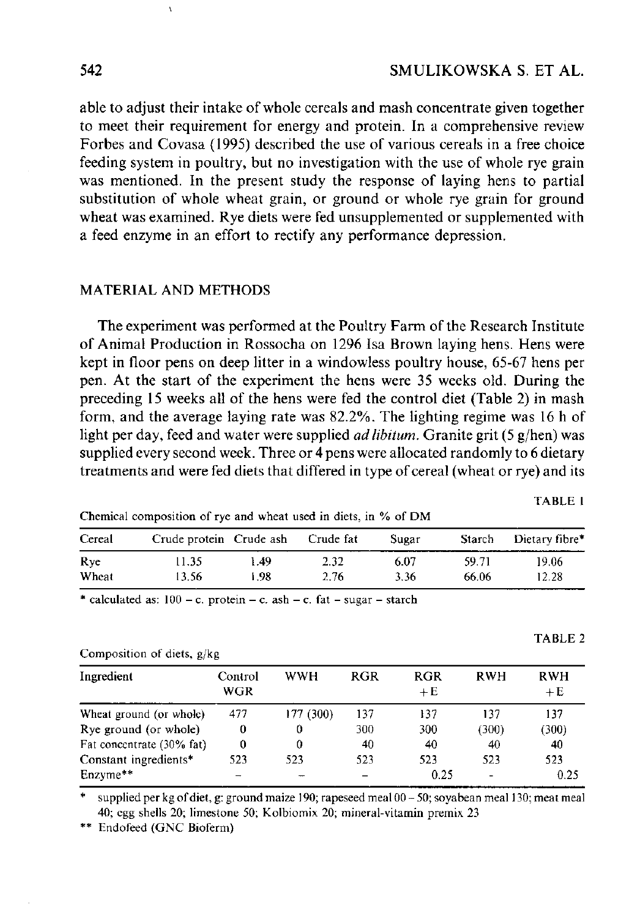able to adjust their intake of whole cereals and mash concentrate given together to meet their requirement for energy and protein. In a comprehensive review Forbes and Covasa (1995) described the use of various cereals in a free choice feeding system in poultry, but no investigation with the use of whole rye grain was mentioned. In the present study the response of laying hens to partial substitution of whole wheat grain, or ground or whole rye grain for ground wheat was examined. Rye diets were fed unsupplemented or supplemented with a feed enzyme in an effort to rectify any performance depression.

# MATERIAL AND METHODS

The experiment was performed at the Poultry Farm of the Research Institute of Animal Production in Rossocha on 1296 Isa Brown laying hens. Hens were kept in floor pens on deep litter in a windowless poultry house, 65-67 hens per pen. At the start of the experiment the hens were 35 weeks old. During the preceding 15 weeks all of the hens were fed the control diet (Table 2) in mash form, and the average laying rate was 82.2%. The lighting regime was 16 h of light per day, feed and water were supplied *ad libitum.* Granite grit (5 g/hen) was supplied every second week. Three or 4 pens were allocated randomly to 6 dietary treatments and were fed diets that differed in type of cereal (wheat or rye) and its

**TABLE 1** 

**TABLE 2** 

| Cereal      | Crude protein Crude ash |      | Crude fat | Sugar | <b>Starch</b> | Dietary fibre* |
|-------------|-------------------------|------|-----------|-------|---------------|----------------|
| <b>R</b> ve | 11.35                   | 1.49 | 2.32      | 6.07  | 59.71         | 19.06          |
| Wheat       | 3.56                    | 1.98 | 2.76      | 3.36  | 66.06         | 12.28          |

**Chemical composition of rye and wheat used in diets, in % of DM** 

**\* calculated as: 100 - c. protein - c. ash - c. fat - sugar - starch** 

| Composition of diets, g/kg |  |  |
|----------------------------|--|--|
|                            |  |  |

| Ingredient                                                                                                                                                                                                                                                                                                                | Control<br>WGR | <b>WWH</b> | RGR            | <b>RGR</b><br>$+E$ | <b>RWH</b>               | <b>RWH</b><br>$+E$ |
|---------------------------------------------------------------------------------------------------------------------------------------------------------------------------------------------------------------------------------------------------------------------------------------------------------------------------|----------------|------------|----------------|--------------------|--------------------------|--------------------|
| Wheat ground (or whole)                                                                                                                                                                                                                                                                                                   | 477            | 177 (300)  | 137            | 137                | 137                      | 137                |
| Rye ground (or whole)                                                                                                                                                                                                                                                                                                     | $^{0}$         | 0          | 300            | 300                | (300)                    | (300)              |
| Fat concentrate (30% fat)                                                                                                                                                                                                                                                                                                 | 0              | 0          | 40             | 40                 | 40                       | 40                 |
| Constant ingredients*                                                                                                                                                                                                                                                                                                     | 523            | 523        | 523            | 523                | 523                      | 523                |
| Enzyme**                                                                                                                                                                                                                                                                                                                  | -              |            |                | 0.25               | $\overline{\phantom{a}}$ | 0.25               |
| $\frac{1}{2}$ and $\frac{1}{2}$ and $\frac{1}{2}$ and $\frac{1}{2}$ and $\frac{1}{2}$ and $\frac{1}{2}$ and $\frac{1}{2}$ and $\frac{1}{2}$ and $\frac{1}{2}$ and $\frac{1}{2}$ and $\frac{1}{2}$ and $\frac{1}{2}$ and $\frac{1}{2}$ and $\frac{1}{2}$ and $\frac{1}{2}$ and $\frac{1}{2}$ a<br>$\overline{\phantom{a}}$ |                | $\cdots$   | $\blacksquare$ | $100 - 50$         | $\cdots$                 | $\sim$ $\sim$      |

**\* supplied per kg of diet, g: ground maize 190; rapeseed meal 00 - 50; soyabean meal 130; meat meal 40; egg shells 20; limestone 50; Kolbiomix 20; mineral-vitamin premix 23** 

**\*\* Endofeed (GNC Bioferm)**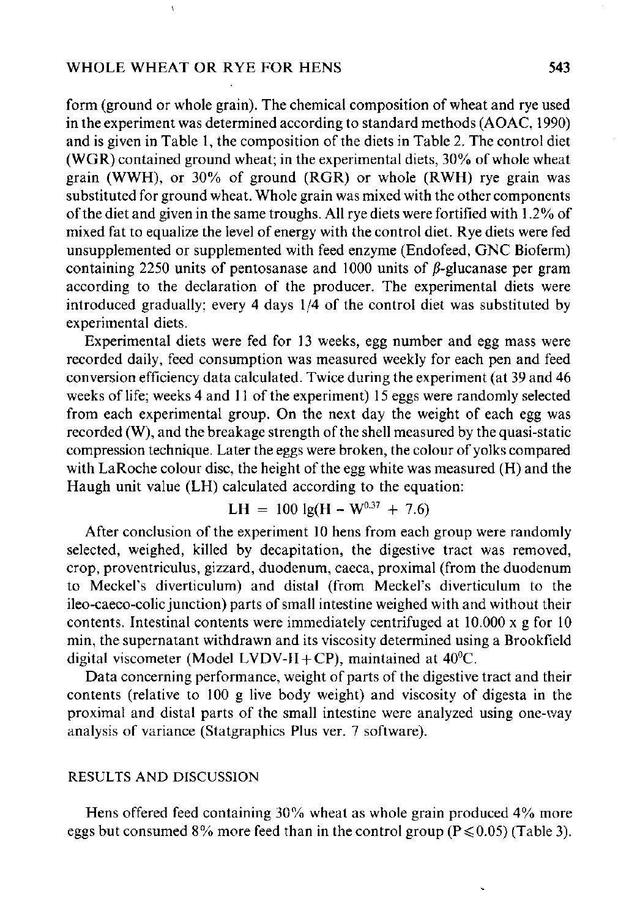# WHOLE WHEAT OR RYE FOR HENS 543

**\** 

form (ground or whole grain). The chemical composition of wheat and rye used in the experiment was determined according to standard methods (AOAC, 1990) and is given in Table 1, the composition of the diets in Table 2. The control diet (WGR) contained ground wheat; in the experimental diets, 30% of whole wheat grain (WWH), or 30% of ground (RGR) or whole (RWH) rye grain was substituted for ground wheat. Whole grain was mixed with the other components of the diet and given in the same troughs. All rye diets were fortified with 1.2% of mixed fat to equalize the level of energy with the control diet. Rye diets were fed unsupplemented or supplemented with feed enzyme (Endofeed, GNC Bioferm) containing 2250 units of pentosanase and 1000 units of  $\beta$ -glucanase per gram according to the declaration of the producer. The experimental diets were introduced gradually; every 4 days 1/4 of the control diet was substituted by experimental diets.

Experimental diets were fed for 13 weeks, egg number and egg mass were recorded daily, feed consumption was measured weekly for each pen and feed conversion efficiency data calculated. Twice during the experiment (at 39 and 46 weeks of life; weeks 4 and 11 of the experiment) 15 eggs were randomly selected from each experimental group. On the next day the weight of each egg was recorded (W), and the breakage strength of the shell measured by the quasi-static compression technique. Later the eggs were broken, the colour of yolks compared with LaRoche colour disc, the height of the egg white was measured (H) and the Haugh unit value (LH) calculated according to the equation:

$$
LH = 100 \text{ lg}(H - W^{0.37} + 7.6)
$$

After conclusion of the experiment 10 hens from each group were randomly selected, weighed, killed by decapitation, the digestive tract was removed, crop, proventriculus, gizzard, duodenum, caeca, proximal (from the duodenum to Meckel's diverticulum) and distal (from Meckel's diverticulum to the ileo-caeco-colic junction) parts of small intestine weighed with and without their contents. Intestinal contents were immediately centrifuged at 10.000 x g for 10 min, the supernatant withdrawn and its viscosity determined using a Brookfield digital viscometer (Model LVDV-II+CP), maintained at  $40^{\circ}$ C.

Data concerning performance, weight of parts of the digestive tract and their contents (relative to 100 g live body weight) and viscosity of digesta in the proximal and distal parts of the small intestine were analyzed using one-way analysis of variance (Statgraphics Plus ver. 7 software).

## **RESULTS AND DISCUSSION**

Hens offered feed containing 30% wheat as whole grain produced 4% more eggs but consumed 8% more feed than in the control group ( $P \le 0.05$ ) (Table 3).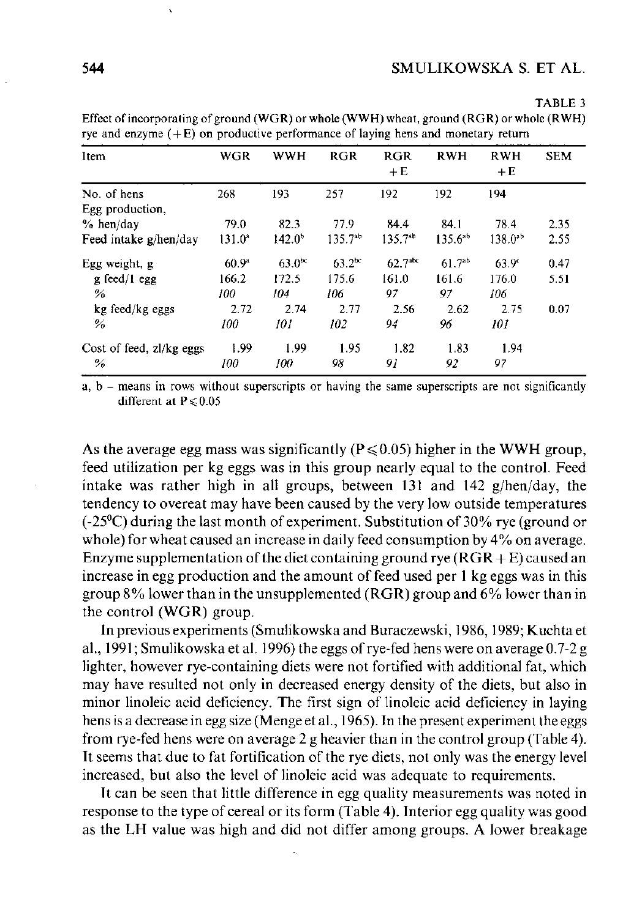| Item                     | <b>WGR</b>        | <b>WWH</b>      | <b>RGR</b>         | <b>RGR</b><br>$+E$  | <b>RWH</b>   | <b>RWH</b><br>$+E$ | <b>SEM</b> |
|--------------------------|-------------------|-----------------|--------------------|---------------------|--------------|--------------------|------------|
| No. of hens              | 268               | 193             | 257                | 192                 | 192          | 194                |            |
| Egg production,          |                   |                 |                    |                     |              |                    |            |
| $%$ hen/day              | 79.0              | 82.3            | 77.9               | 84.4                | 84.1         | 78.4               | 2.35       |
| Feed intake g/hen/day    | $131.0^a$         | $142.0^{\circ}$ | $135.7^{ab}$       | $135.7^{ab}$        | $135.6^{ab}$ | $138.0^{ab}$       | 2.55       |
| Egg weight, g            | 60.9 <sup>a</sup> | $63.0^\infty$   | 63.2 <sup>oc</sup> | 62.7 <sup>abc</sup> | $61.7^{ab}$  | 63.9 <sup>c</sup>  | 0.47       |
| $g$ feed/l egg           | 166.2             | 172.5           | 175.6              | 161.0               | 161.6        | 176.0              | 5.51       |
| $\%$                     | 100               | 104             | 106                | 97                  | 97           | 106                |            |
| kg feed/kg eggs          | 2.72              | 2.74            | 2.77               | 2.56                | 2.62         | 2.75               | 0.07       |
| %                        | 100               | 101             | 102                | 94                  | 96           | 101                |            |
| Cost of feed, zl/kg eggs | 1.99              | 1.99            | 1.95               | 1.82                | 1.83         | 1.94               |            |
| $\%$                     | 100               | 100             | 98                 | 91                  | 92           | 97                 |            |

**TABLE 3 Effect of incorporating of ground (WGR) or whole (WWH) wheat, ground (RGR) or whole (RWH) rye and enzyme ( + E) on productive performance of laying hens and monetary return** 

**a, b - means in rows without superscripts or having the same superscripts are not significantly different at P^0.05** 

As the average egg mass was significantly ( $P \le 0.05$ ) higher in the WWH group, feed utilization per kg eggs was in this group nearly equal to the control. Feed intake was rather high in all groups, between 131 and 142 g/hen/day, the tendency to overeat may have been caused by the very low outside temperatures (-25°C) during the last month of experiment. Substitution of 30% rye (ground or whole) for wheat caused an increase in daily feed consumption by 4% on average. Enzyme supplementation of the diet containing ground rye  $(RGR + E)$  caused an increase in egg production and the amount of feed used per 1 kg eggs was in this group 8% lower than in the unsupplemented (RGR) group and 6% lower than in the control (WGR) group.

In previous experiments (Smulikowska and Buraczewski, 1986,1989; Kuchta et al., 1991; Smulikowska et al. 1996) the eggs of rye-fed hens were on average 0.7-2 g lighter, however rye-containing diets were not fortified with additional fat, which may have resulted not only in decreased energy density of the diets, but also in minor linoleic acid deficiency. The first sign of linoleic acid deficiency in laying hens is a decrease in egg size (Menge et al., 1965). In the present experiment the eggs from rye-fed hens were on average 2 g heavier than in the control group (Table 4). It seems that due to fat fortification of the rye diets, not only was the energy level increased, but also the level of linoleic acid was adequate to requirements.

It can be seen that little difference in egg quality measurements was noted in response to the type of cereal or its form (Table 4). Interior egg quality was good as the LH value was high and did not differ among groups. A lower breakage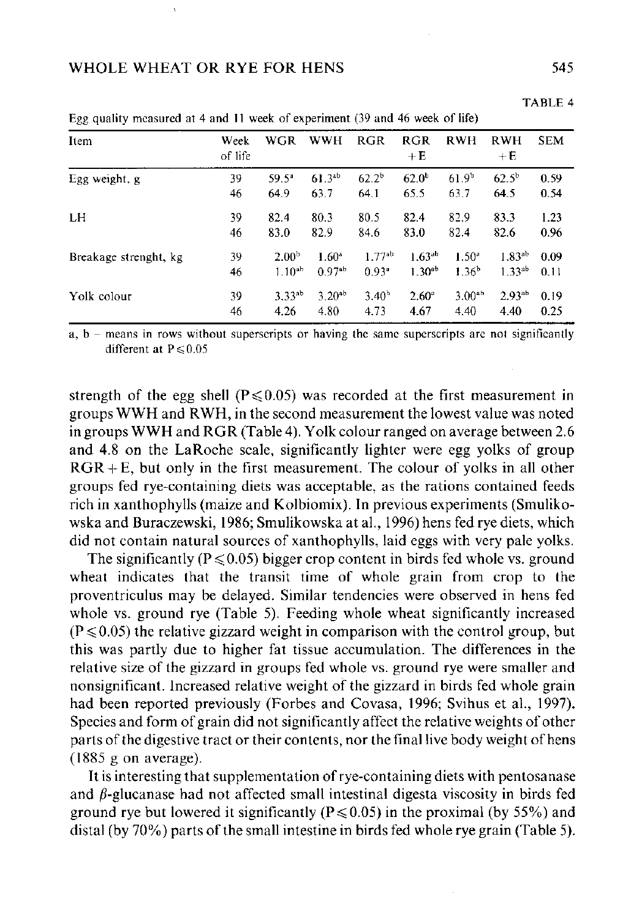# WHOLE WHEAT OR RYE FOR HENS 545

| Item                  | Week<br>of life | WGR               | <b>WWH</b>         | <b>RGR</b>        | <b>RGR</b><br>$+E$ | <b>RWH</b>        | <b>RWH</b><br>$+E$ | <b>SEM</b> |
|-----------------------|-----------------|-------------------|--------------------|-------------------|--------------------|-------------------|--------------------|------------|
| Egg weight, g         | 39              | 59.5 <sup>a</sup> | $61.3^{ab}$        | $62.2^{b}$        | $62.0^{b}$         | $61.9^{b}$        | $62.5^{b}$         | 0.59       |
|                       | 46              | 64.9              | 63.7               | 64.1              | 65.5               | 63.7              | 64.5               | 0.54       |
| LH                    | 39              | 82.4              | 80.3               | 80.5              | 82.4               | 82.9              | 83.3               | 1.23       |
|                       | 46              | 83.0              | 82.9               | 84.6              | 83.0               | 82.4              | 82.6               | 0.96       |
| Breakage strenght, kg | 39              | 2.00 <sup>b</sup> | $1.60^{\circ}$     | $1.77^{ab}$       | $1.63^{ab}$        | 1.50 <sup>a</sup> | $1.83^{ab}$        | 0.09       |
|                       | 46              | $1.10^{ab}$       | 0.97 <sup>ab</sup> | 0.93 <sup>a</sup> | $1.30^{ab}$        | 1.36 <sup>b</sup> | $1.33^{ab}$        | 0.11       |
| Yolk colour           | 39              | $3.33^{ab}$       | $3.20^{ab}$        | 3.40 <sup>h</sup> | $2.60^{\circ}$     | $3.00^{ab}$       | 2.93 <sup>ab</sup> | 0.19       |
|                       | 46              | 4.26              | 4.80               | 4.73              | 4.67               | 4.40              | 4.40               | 0.25       |

Egg quality measured at 4 and 11 week of experiment (39 and 46 week of life)

**a, b - means in rows without superscripts or having the same superscripts are not significantly different at P^0.05** 

strength of the egg shell ( $P \le 0.05$ ) was recorded at the first measurement in groups WWH and RWH, in the second measurement the lowest value was noted in groups WWH and RGR (Table 4). Yolk colour ranged on average between 2.6 and 4.8 on the LaRoche scale, significantly lighter were egg yolks of group  $RGR + E$ , but only in the first measurement. The colour of yolks in all other groups fed rye-containing diets was acceptable, as the rations contained feeds rich in xanthophylls (maize and Kolbiomix). In previous experiments (Smulikowska and Buraczewski, 1986; Smulikowska at al., 1996) hens fed rye diets, which did not contain natural sources of xanthophylls, laid eggs with very pale yolks.

The significantly ( $P \le 0.05$ ) bigger crop content in birds fed whole vs. ground wheat indicates that the transit time of whole grain from crop to the proventriculus may be delayed. Similar tendencies were observed in hens fed whole vs. ground rye (Table 5). Feeding whole wheat significantly increased  $(P \le 0.05)$  the relative gizzard weight in comparison with the control group, but this was partly due to higher fat tissue accumulation. The differences in the relative size of the gizzard in groups fed whole vs. ground rye were smaller and nonsignificant. Increased relative weight of the gizzard in birds fed whole grain had been reported previously (Forbes and Covasa, 1996; Svihus et al., 1997). Species and form of grain did not significantly affect the relative weights of other parts of the digestive tract or their contents, nor the final live body weight of hens (1885 g on average).

It is interesting that supplementation of rye-containing diets with pentosanase and  $\beta$ -glucanase had not affected small intestinal digesta viscosity in birds fed ground rye but lowered it significantly ( $P \le 0.05$ ) in the proximal (by 55%) and distal (by 70%) parts of the small intestine in birds fed whole rye grain (Table 5).

**TABLE 4**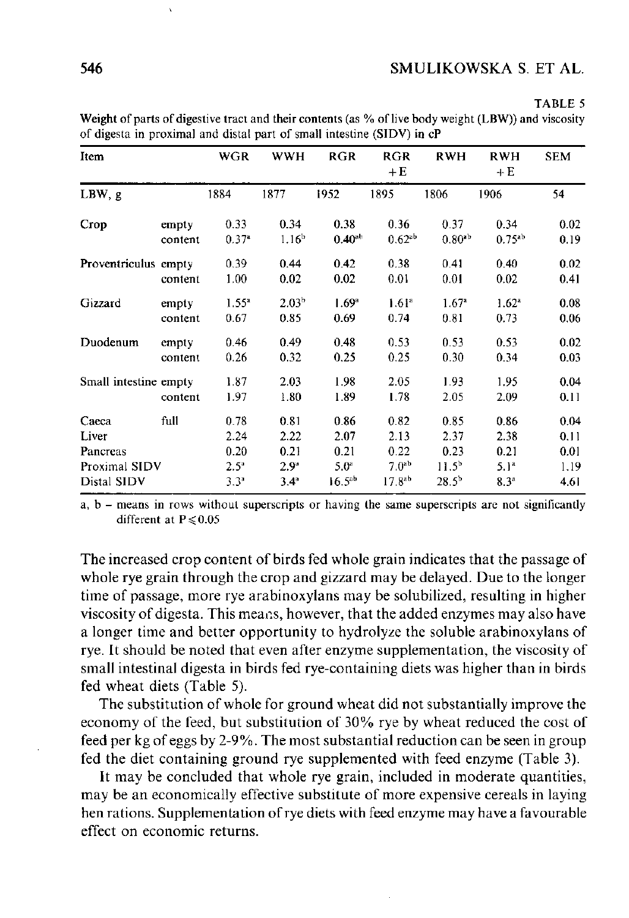#### **TABLE 5**

**Weight of parts of digestive tract and their contents (as % of live body weight (LBW)) and viscosity of digesta in proximal and distal part of small intestine (SIDV) in cP** 

| Item                  |         | <b>WGR</b>    | <b>WWH</b>        | <b>RGR</b>        | <b>RGR</b><br>$+E$ | <b>RWH</b>        | <b>RWH</b><br>$+E$ | <b>SEM</b> |
|-----------------------|---------|---------------|-------------------|-------------------|--------------------|-------------------|--------------------|------------|
| LBW, g                |         | 1884          | 1877              | 1952              | 1895               | 1806              | 1906               | 54         |
| Crop                  | empty   | 0.33          | 0.34              | 0.38              | 0.36               | 0.37              | 0.34               | 0.02       |
|                       | content | $0.37 -$      | 1.16 <sup>b</sup> | $0.40^{ab}$       | $0.62^{ab}$        | $0.80^{ab}$       | $0.75^{ab}$        | 0.19       |
| Proventriculus empty  |         | 0.39          | 0.44              | 0.42              | 0.38               | 0.41              | 0.40               | 0.02       |
|                       | content | 1.00          | 0.02              | 0.02              | 0.01               | 0.01              | 0.02               | 0.41       |
| Gizzard               | empty   | $1.55*$       | 2.03 <sup>b</sup> | 1.69 <sup>a</sup> | 1.61 <sup>a</sup>  | 1.67 <sup>a</sup> | 1.62 <sup>a</sup>  | 0.08       |
|                       | content | 0.67          | 0.85              | 0.69              | 0.74               | 0.81              | 0.73               | 0.06       |
| Duodenum              | empty   | 0.46          | 0.49              | 0.48              | 0.53               | 0.53              | 0.53               | 0.02       |
|                       | content | 0.26          | 0.32              | 0.25              | 0.25               | 0.30              | 0.34               | 0.03       |
| Small intestine empty |         | 1.87          | 2.03              | 1.98              | 2.05               | 1.93              | 1.95               | 0.04       |
|                       | content | 1.97          | 1.80              | 1.89              | 1.78               | 2.05              | 2.09               | 0.11       |
| Caeca                 | full    | 0.78          | 0.81              | 0.86              | 0.82               | 0.85              | 0.86               | 0.04       |
| Liver                 |         | 2.24          | 2 2 2             | 2.07              | 2.13               | 2.37              | 2.38               | 0.11       |
| Pancreas              |         | 0.20          | 0.21              | 0.21              | 0.22               | 0.23              | 0.21               | 0.01       |
| Proximal SIDV         |         | $2.5^{\circ}$ | $2.9^\circ$       | 5.0 <sup>a</sup>  | 7.0 <sup>ab</sup>  | $11.5^b$          | 5.1 <sup>a</sup>   | 1.19       |
| Distal SIDV           |         | $3.3^{a}$     | $3.4^{\circ}$     | $16.5^{ab}$       | $17.8^{ab}$        | $28.5^{\rm b}$    | 8.3 <sup>a</sup>   | 4.61       |

**a, b - means in rows without superscripts or having the same superscripts are not significantly different at P^0.05** 

The increased crop content of birds fed whole grain indicates that the passage of whole rye grain through the crop and gizzard may be delayed. Due to the longer time of passage, more rye arabinoxylans may be solubilized, resulting in higher viscosity of digesta. This means, however, that the added enzymes may also have a longer time and better opportunity to hydrolyze the soluble arabinoxylans of rye. It should be noted that even after enzyme supplementation, the viscosity of small intestinal digesta in birds fed rye-containing diets was higher than in birds fed wheat diets (Table 5).

The substitution of whole for ground wheat did not substantially improve the economy of the feed, but substitution of 30% rye by wheat reduced the cost of feed per kg of eggs by 2-9%. The most substantial reduction can be seen in group fed the diet containing ground rye supplemented with feed enzyme (Table 3).

It may be concluded that whole rye grain, included in moderate quantities, may be an economically effective substitute of more expensive cereals in laying hen rations. Supplementation of rye diets with feed enzyme may have a favourable effect on economic returns.